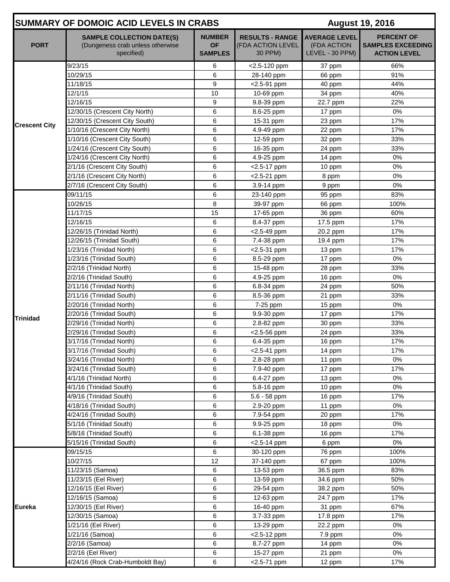|                      | <b>SUMMARY OF DOMOIC ACID LEVELS IN CRABS</b>                                      | <b>August 19, 2016</b>                       |                                                        |                                                        |                                                                      |
|----------------------|------------------------------------------------------------------------------------|----------------------------------------------|--------------------------------------------------------|--------------------------------------------------------|----------------------------------------------------------------------|
| <b>PORT</b>          | <b>SAMPLE COLLECTION DATE(S)</b><br>(Dungeness crab unless otherwise<br>specified) | <b>NUMBER</b><br><b>OF</b><br><b>SAMPLES</b> | <b>RESULTS - RANGE</b><br>(FDA ACTION LEVEL<br>30 PPM) | <b>AVERAGE LEVEL</b><br>(FDA ACTION<br>LEVEL - 30 PPM) | <b>PERCENT OF</b><br><b>SAMPLES EXCEEDING</b><br><b>ACTION LEVEL</b> |
|                      | 9/23/15                                                                            | 6                                            | <2.5-120 ppm                                           | 37 ppm                                                 | 66%                                                                  |
|                      | 10/29/15                                                                           | 6                                            | 28-140 ppm                                             | 66 ppm                                                 | 91%                                                                  |
|                      | 11/18/15                                                                           | 9                                            | $<$ 2.5-91 ppm                                         | 40 ppm                                                 | 44%                                                                  |
|                      | $\frac{1}{2}/1/15$                                                                 | 10                                           | 10-69 ppm                                              | 34 ppm                                                 | 40%                                                                  |
|                      | 12/16/15                                                                           | 9                                            | 9.8-39 ppm                                             | 22.7 ppm                                               | 22%                                                                  |
|                      | 12/30/15 (Crescent City North)                                                     | 6                                            | 8.6-25 ppm                                             | 17 ppm                                                 | 0%                                                                   |
| <b>Crescent City</b> | 12/30/15 (Crescent City South)                                                     | 6                                            | 15-31 ppm                                              | 23 ppm                                                 | 17%                                                                  |
|                      | 1/10/16 (Crescent City North)                                                      | 6                                            | 4.9-49 ppm                                             | 22 ppm                                                 | 17%                                                                  |
|                      | 1/10/16 (Crescent City South)                                                      | 6                                            | 12-59 ppm                                              | 32 ppm                                                 | 33%                                                                  |
|                      | 1/24/16 (Crescent City South)                                                      | 6                                            | 16-35 ppm                                              | 24 ppm                                                 | 33%                                                                  |
|                      | 1/24/16 (Crescent City North)                                                      | 6                                            | 4.9-25 ppm                                             | 14 ppm                                                 | 0%                                                                   |
|                      | 2/1/16 (Crescent City South)                                                       | 6                                            | <2.5-17 ppm                                            | 10 ppm                                                 | 0%                                                                   |
|                      | 2/1/16 (Crescent City North)                                                       | 6                                            | $<$ 2.5-21 ppm                                         | 8 ppm                                                  | $0\%$                                                                |
|                      | 2/7/16 (Crescent City South)                                                       | 6                                            | 3.9-14 ppm                                             | 9 ppm                                                  | 0%                                                                   |
|                      | 09/11/15                                                                           | 6                                            | 23-140 ppm                                             | 95 ppm                                                 | 83%                                                                  |
|                      | 10/26/15                                                                           | 8                                            | 39-97 ppm                                              | 66 ppm                                                 | 100%                                                                 |
|                      | 11/17/15                                                                           | 15                                           | 17-65 ppm                                              | 36 ppm                                                 | 60%                                                                  |
|                      | 12/16/15                                                                           | 6                                            | 8.4-37 ppm                                             | 17.5 ppm                                               | 17%                                                                  |
|                      | 12/26/15 (Trinidad North)                                                          | 6                                            | $<$ 2.5-49 ppm                                         | 20.2 ppm                                               | 17%                                                                  |
|                      | 12/26/15 (Trinidad South)                                                          | 6                                            | 7.4-38 ppm                                             | 19.4 ppm                                               | 17%                                                                  |
|                      | 1/23/16 (Trinidad North)                                                           | 6                                            | <2.5-31 ppm                                            | 13 ppm                                                 | 17%                                                                  |
|                      | 1/23/16 (Trinidad South)                                                           | 6                                            | 8.5-29 ppm                                             | 17 ppm                                                 | 0%                                                                   |
|                      | 2/2/16 (Trinidad North)                                                            | 6                                            | 15-48 ppm                                              | 28 ppm                                                 | 33%                                                                  |
|                      | 2/2/16 (Trinidad South)                                                            | 6                                            | 4.9-25 ppm                                             | 16 ppm                                                 | $0\%$                                                                |
|                      | 2/11/16 (Trinidad North)                                                           | 6                                            | 6.8-34 ppm                                             | 24 ppm                                                 | 50%                                                                  |
|                      | 2/11/16 (Trinidad South)                                                           | 6                                            | 8.5-36 ppm                                             | 21 ppm                                                 | 33%                                                                  |
|                      | 2/20/16 (Trinidad North)                                                           | 6                                            | 7-25 ppm                                               | 15 ppm                                                 | 0%                                                                   |
| <b>Trinidad</b>      | 2/20/16 (Trinidad South)                                                           | 6                                            | 9.9-30 ppm                                             | 17 ppm                                                 | 17%                                                                  |
|                      | 2/29/16 (Trinidad North)                                                           | 6                                            | 2.8-82 ppm                                             | 30 ppm                                                 | 33%                                                                  |
|                      | 2/29/16 (Trinidad South)                                                           | 6                                            | <2.5-56 ppm                                            | 24 ppm                                                 | 33%                                                                  |
|                      | 3/17/16 (Trinidad North)                                                           | 6                                            | 6.4-35 ppm                                             | 16 ppm                                                 | 17%                                                                  |
|                      | 3/17/16 (Trinidad South)                                                           | 6                                            | <2.5-41 ppm                                            | 14 ppm                                                 | 17%                                                                  |
|                      | 3/24/16 (Trinidad North)                                                           | 6                                            | 2.8-28 ppm                                             | 11 ppm                                                 | 0%                                                                   |
|                      | 3/24/16 (Trinidad South)                                                           | 6                                            | 7.9-40 ppm                                             | 17 ppm                                                 | 17%                                                                  |
|                      | 4/1/16 (Trinidad North)                                                            | 6                                            | 6.4-27 ppm                                             | 13 ppm                                                 | 0%                                                                   |
|                      | 4/1/16 (Trinidad South)                                                            | 6                                            | 5.8-16 ppm                                             | 10 ppm                                                 | 0%                                                                   |
|                      | 4/9/16 (Trinidad South)                                                            | 6                                            | 5.6 - 58 ppm                                           | 16 ppm                                                 | 17%                                                                  |
|                      | 4/18/16 (Trinidad South)                                                           | 6                                            | 2.9-20 ppm                                             | 11 ppm                                                 | 0%                                                                   |
|                      | 4/24/16 (Trinidad South)                                                           | 6                                            | 7.9-54 ppm                                             | 20 ppm                                                 | 17%                                                                  |
|                      | 5/1/16 (Trinidad South)                                                            | 6                                            | 9.9-25 ppm                                             | 18 ppm                                                 | 0%                                                                   |
|                      | 5/8/16 (Trinidad South)                                                            | 6                                            | 6.1-38 ppm                                             | 16 ppm                                                 | 17%                                                                  |
|                      | 5/15/16 (Trinidad South)                                                           | 6                                            | <2.5-14 ppm                                            | 6 ppm                                                  | 0%                                                                   |
|                      | 09/15/15                                                                           | 6                                            | 30-120 ppm                                             | 76 ppm                                                 | 100%                                                                 |
|                      | 10/27/15                                                                           | 12                                           | 37-140 ppm                                             | 67 ppm                                                 | 100%                                                                 |
|                      | 11/23/15 (Samoa)                                                                   | 6                                            | 13-53 ppm                                              | 36.5 ppm                                               | 83%                                                                  |
|                      | 11/23/15 (Eel River)                                                               | 6                                            | 13-59 ppm                                              | 34.6 ppm                                               | 50%                                                                  |
|                      | 12/16/15 (Eel River)                                                               | 6                                            | 29-54 ppm                                              | 38.2 ppm                                               | 50%                                                                  |
|                      | 12/16/15 (Samoa)                                                                   | 6                                            | 12-63 ppm                                              | 24.7 ppm                                               | 17%                                                                  |
| <b>Eureka</b>        | 12/30/15 (Eel River)                                                               | 6                                            | 16-40 ppm                                              | 31 ppm                                                 | 67%                                                                  |
|                      | 12/30/15 (Samoa)                                                                   | 6                                            | 3.7-33 ppm                                             | 17.8 ppm                                               | 17%                                                                  |
|                      | 1/21/16 (Eel River)                                                                | 6                                            | 13-29 ppm                                              | 22.2 ppm                                               | 0%                                                                   |
|                      | 1/21/16 (Samoa)                                                                    | 6                                            | <2.5-12 ppm                                            | $7.9$ ppm                                              | $0\%$                                                                |
|                      | 2/2/16 (Samoa)                                                                     | 6                                            | 8.7-27 ppm                                             | 14 ppm                                                 | 0%                                                                   |
|                      | 2/2/16 (Eel River)                                                                 | 6                                            | 15-27 ppm                                              | 21 ppm                                                 | 0%                                                                   |
|                      | 4/24/16 (Rock Crab-Humboldt Bay)                                                   | 6                                            | <2.5-71 ppm                                            | 12 ppm                                                 | 17%                                                                  |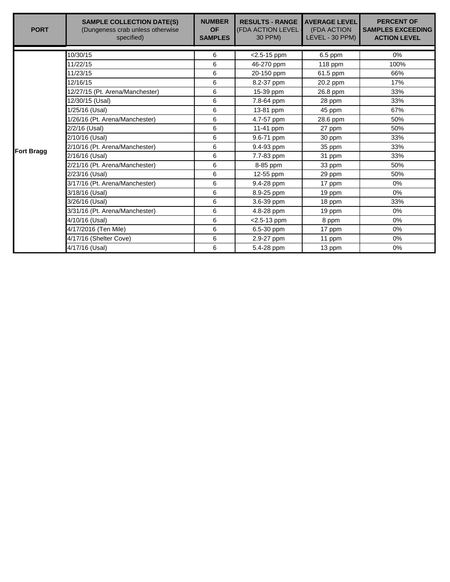| <b>PORT</b>       | <b>SAMPLE COLLECTION DATE(S)</b><br>(Dungeness crab unless otherwise<br>specified) | <b>NUMBER</b><br><b>OF</b><br><b>SAMPLES</b> | <b>RESULTS - RANGE</b><br>(FDA ACTION LEVEL<br>30 PPM) | <b>AVERAGE LEVEL</b><br>(FDA ACTION<br>LEVEL - 30 PPM) | <b>PERCENT OF</b><br><b>SAMPLES EXCEEDING</b><br><b>ACTION LEVEL</b> |
|-------------------|------------------------------------------------------------------------------------|----------------------------------------------|--------------------------------------------------------|--------------------------------------------------------|----------------------------------------------------------------------|
|                   | 10/30/15                                                                           | 6                                            |                                                        |                                                        | $0\%$                                                                |
|                   | 11/22/15                                                                           |                                              | $<$ 2.5-15 ppm                                         | $6.5$ ppm                                              |                                                                      |
|                   |                                                                                    | 6                                            | 46-270 ppm                                             | 118 ppm                                                | 100%                                                                 |
|                   | 11/23/15                                                                           | 6                                            | 20-150 ppm                                             | 61.5 ppm                                               | 66%                                                                  |
|                   | 12/16/15                                                                           | 6                                            | 8.2-37 ppm                                             | 20.2 ppm                                               | 17%                                                                  |
|                   | 12/27/15 (Pt. Arena/Manchester)                                                    | 6                                            | 15-39 ppm                                              | 26.8 ppm                                               | 33%                                                                  |
|                   | 12/30/15 (Usal)                                                                    | 6                                            | 7.8-64 ppm                                             | 28 ppm                                                 | 33%                                                                  |
|                   | 1/25/16 (Usal)                                                                     | 6                                            | 13-81 ppm                                              | 45 ppm                                                 | 67%                                                                  |
|                   | 1/26/16 (Pt. Arena/Manchester)                                                     | 6                                            | 4.7-57 ppm                                             | 28.6 ppm                                               | 50%                                                                  |
|                   | 2/2/16 (Usal)                                                                      | 6                                            | 11-41 ppm                                              | 27 ppm                                                 | 50%                                                                  |
|                   | 2/10/16 (Usal)                                                                     | 6                                            | 9.6-71 ppm                                             | 30 ppm                                                 | 33%                                                                  |
| <b>Fort Bragg</b> | 2/10/16 (Pt. Arena/Manchester)                                                     | 6                                            | 9.4-93 ppm                                             | 35 ppm                                                 | 33%                                                                  |
|                   | 2/16/16 (Usal)                                                                     | 6                                            | 7.7-83 ppm                                             | 31 ppm                                                 | 33%                                                                  |
|                   | 2/21/16 (Pt. Arena/Manchester)                                                     | 6                                            | 8-85 ppm                                               | 33 ppm                                                 | 50%                                                                  |
|                   | 2/23/16 (Usal)                                                                     | 6                                            | 12-55 ppm                                              | 29 ppm                                                 | 50%                                                                  |
|                   | 3/17/16 (Pt. Arena/Manchester)                                                     | 6                                            | 9.4-28 ppm                                             | 17 ppm                                                 | 0%                                                                   |
|                   | 3/18/16 (Usal)                                                                     | 6                                            | 8.9-25 ppm                                             | 19 ppm                                                 | $0\%$                                                                |
|                   | 3/26/16 (Usal)                                                                     | 6                                            | 3.6-39 ppm                                             | 18 ppm                                                 | 33%                                                                  |
|                   | 3/31/16 (Pt. Arena/Manchester)                                                     | 6                                            | 4.8-28 ppm                                             | 19 ppm                                                 | 0%                                                                   |
|                   | 4/10/16 (Usal)                                                                     | 6                                            | <2.5-13 ppm                                            | 8 ppm                                                  | 0%                                                                   |
|                   | 4/17/2016 (Ten Mile)                                                               | 6                                            | 6.5-30 ppm                                             | 17 ppm                                                 | 0%                                                                   |
|                   | 4/17/16 (Shelter Cove)                                                             | 6                                            | 2.9-27 ppm                                             | 11 ppm                                                 | $0\%$                                                                |
|                   | 4/17/16 (Usal)                                                                     | 6                                            | 5.4-28 ppm                                             | 13 ppm                                                 | 0%                                                                   |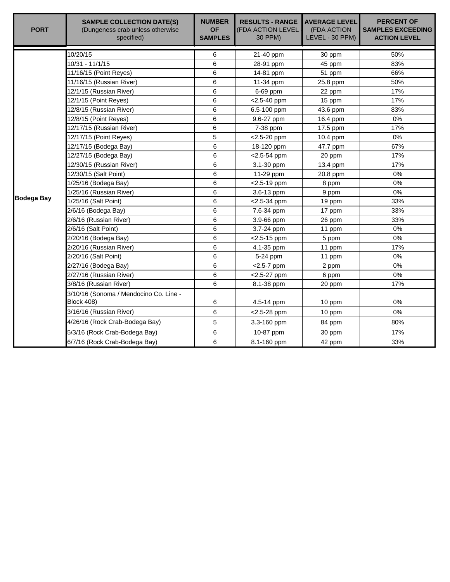| <b>PORT</b>       | <b>SAMPLE COLLECTION DATE(S)</b><br>(Dungeness crab unless otherwise<br>specified) | <b>NUMBER</b><br><b>OF</b><br><b>SAMPLES</b> | <b>RESULTS - RANGE</b><br>(FDA ACTION LEVEL<br>30 PPM) | <b>AVERAGE LEVEL</b><br>(FDA ACTION<br>LEVEL - 30 PPM) | <b>PERCENT OF</b><br><b>SAMPLES EXCEEDING</b><br><b>ACTION LEVEL</b> |
|-------------------|------------------------------------------------------------------------------------|----------------------------------------------|--------------------------------------------------------|--------------------------------------------------------|----------------------------------------------------------------------|
|                   | 10/20/15                                                                           | 6                                            | 21-40 ppm                                              | 30 ppm                                                 | 50%                                                                  |
|                   | 10/31 - 11/1/15                                                                    | 6                                            | 28-91 ppm                                              | 45 ppm                                                 | 83%                                                                  |
|                   | 11/16/15 (Point Reyes)                                                             | 6                                            | 14-81 ppm                                              | 51 ppm                                                 | 66%                                                                  |
|                   | 11/16/15 (Russian River)                                                           | 6                                            | 11-34 ppm                                              | 25.8 ppm                                               | 50%                                                                  |
|                   | 12/1/15 (Russian River)                                                            | 6                                            | 6-69 ppm                                               | 22 ppm                                                 | 17%                                                                  |
|                   | 12/1/15 (Point Reyes)                                                              | 6                                            | <2.5-40 ppm                                            | 15 ppm                                                 | 17%                                                                  |
|                   | 12/8/15 (Russian River)                                                            | 6                                            | 6.5-100 ppm                                            | 43.6 ppm                                               | 83%                                                                  |
|                   | 12/8/15 (Point Reyes)                                                              | 6                                            | 9.6-27 ppm                                             | 16.4 ppm                                               | 0%                                                                   |
|                   | 12/17/15 (Russian River)                                                           | 6                                            | 7-38 ppm                                               | 17.5 ppm                                               | 17%                                                                  |
|                   | 12/17/15 (Point Reyes)                                                             | 5                                            | <2.5-20 ppm                                            | 10.4 ppm                                               | 0%                                                                   |
|                   | 12/17/15 (Bodega Bay)                                                              | 6                                            | 18-120 ppm                                             | 47.7 ppm                                               | 67%                                                                  |
|                   | 12/27/15 (Bodega Bay)                                                              | 6                                            | $<$ 2.5-54 ppm                                         | 20 ppm                                                 | 17%                                                                  |
|                   | 12/30/15 (Russian River)                                                           | 6                                            | 3.1-30 ppm                                             | 13.4 ppm                                               | 17%                                                                  |
|                   | 12/30/15 (Salt Point)                                                              | 6                                            | $11-29$ ppm                                            | 20.8 ppm                                               | 0%                                                                   |
|                   | 1/25/16 (Bodega Bay)                                                               | 6                                            | $<$ 2.5-19 ppm                                         | 8 ppm                                                  | 0%                                                                   |
|                   | 1/25/16 (Russian River)                                                            | 6                                            | 3.6-13 ppm                                             | 9 ppm                                                  | 0%                                                                   |
| <b>Bodega Bay</b> | 1/25/16 (Salt Point)                                                               | 6                                            | $<$ 2.5-34 ppm                                         | 19 ppm                                                 | 33%                                                                  |
|                   | 2/6/16 (Bodega Bay)                                                                | 6                                            | 7.6-34 ppm                                             | 17 ppm                                                 | 33%                                                                  |
|                   | 2/6/16 (Russian River)                                                             | 6                                            | 3.9-66 ppm                                             | 26 ppm                                                 | 33%                                                                  |
|                   | 2/6/16 (Salt Point)                                                                | 6                                            | 3.7-24 ppm                                             | 11 ppm                                                 | 0%                                                                   |
|                   | 2/20/16 (Bodega Bay)                                                               | 6                                            | $<$ 2.5-15 ppm                                         | 5 ppm                                                  | 0%                                                                   |
|                   | 2/20/16 (Russian River)                                                            | 6                                            | 4.1-35 ppm                                             | 11 ppm                                                 | 17%                                                                  |
|                   | 2/20/16 (Salt Point)                                                               | 6                                            | 5-24 ppm                                               | 11 ppm                                                 | 0%                                                                   |
|                   | 2/27/16 (Bodega Bay)                                                               | 6                                            | $<$ 2.5-7 ppm                                          | 2 ppm                                                  | $0\%$                                                                |
|                   | 2/27/16 (Russian River)                                                            | 6                                            | <2.5-27 ppm                                            | 6 ppm                                                  | $0\%$                                                                |
|                   | 3/8/16 (Russian River)                                                             | 6                                            | 8.1-38 ppm                                             | 20 ppm                                                 | 17%                                                                  |
|                   | 3/10/16 (Sonoma / Mendocino Co. Line -<br>Block 408)                               | 6                                            | 4.5-14 ppm                                             | 10 ppm                                                 | 0%                                                                   |
|                   | 3/16/16 (Russian River)                                                            | 6                                            | $<$ 2.5-28 ppm                                         | 10 ppm                                                 | 0%                                                                   |
|                   | 4/26/16 (Rock Crab-Bodega Bay)                                                     | 5                                            | 3.3-160 ppm                                            | 84 ppm                                                 | 80%                                                                  |
|                   | 5/3/16 (Rock Crab-Bodega Bay)                                                      | 6                                            | 10-87 ppm                                              | 30 ppm                                                 | 17%                                                                  |
|                   | 6/7/16 (Rock Crab-Bodega Bay)                                                      | 6                                            | 8.1-160 ppm                                            | 42 ppm                                                 | 33%                                                                  |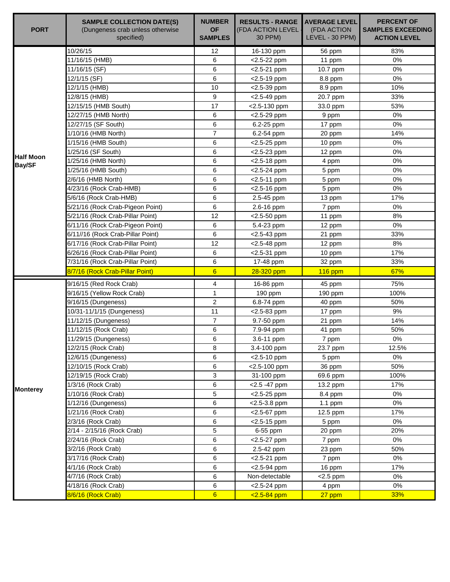| <b>PORT</b>      | <b>SAMPLE COLLECTION DATE(S)</b><br>(Dungeness crab unless otherwise<br>specified) | <b>NUMBER</b><br><b>OF</b><br><b>SAMPLES</b> | <b>RESULTS - RANGE</b><br>(FDA ACTION LEVEL<br>30 PPM) | <b>AVERAGE LEVEL</b><br>(FDA ACTION<br>LEVEL - 30 PPM) | <b>PERCENT OF</b><br><b>SAMPLES EXCEEDING</b><br><b>ACTION LEVEL</b> |
|------------------|------------------------------------------------------------------------------------|----------------------------------------------|--------------------------------------------------------|--------------------------------------------------------|----------------------------------------------------------------------|
|                  | 10/26/15                                                                           | 12                                           | 16-130 ppm                                             | 56 ppm                                                 | 83%                                                                  |
|                  | 11/16/15 (HMB)                                                                     | 6                                            | <2.5-22 ppm                                            | 11 ppm                                                 | 0%                                                                   |
|                  | 11/16/15 (SF)                                                                      | 6                                            | <2.5-21 ppm                                            | 10.7 ppm                                               | 0%                                                                   |
|                  | $\sqrt{12}/1/15$ (SF)                                                              | 6                                            | <2.5-19 ppm                                            | 8.8 ppm                                                | 0%                                                                   |
|                  | 12/1/15 (HMB)                                                                      | 10                                           | $<$ 2.5-39 ppm                                         | 8.9 ppm                                                | 10%                                                                  |
|                  | 12/8/15 (HMB)                                                                      | 9                                            | $<$ 2.5-49 ppm                                         | 20.7 ppm                                               | 33%                                                                  |
|                  | 12/15/15 (HMB South)                                                               | 17                                           | <2.5-130 ppm                                           | 33.0 ppm                                               | 53%                                                                  |
|                  | 12/27/15 (HMB North)                                                               | 6                                            | $<$ 2.5-29 ppm                                         | 9 ppm                                                  | 0%                                                                   |
|                  | 12/27/15 (SF South)                                                                | 6                                            | 6.2-25 ppm                                             | 17 ppm                                                 | 0%                                                                   |
|                  | 1/10/16 (HMB North)                                                                | $\overline{7}$                               | 6.2-54 ppm                                             | 20 ppm                                                 | 14%                                                                  |
|                  | 1/15/16 (HMB South)                                                                | 6                                            | $<$ 2.5-25 ppm                                         | 10 ppm                                                 | 0%                                                                   |
| <b>Half Moon</b> | 1/25/16 (SF South)                                                                 | 6                                            | $<$ 2.5-23 ppm                                         | 12 ppm                                                 | 0%                                                                   |
| <b>Bay/SF</b>    | 1/25/16 (HMB North)                                                                | 6                                            | $<$ 2.5-18 ppm                                         | 4 ppm                                                  | $0\%$                                                                |
|                  | 1/25/16 (HMB South)                                                                | 6                                            | $<$ 2.5-24 ppm                                         | 5 ppm                                                  | 0%                                                                   |
|                  | 2/6/16 (HMB North)                                                                 | 6                                            | $<$ 2.5-11 ppm                                         | 5 ppm                                                  | 0%                                                                   |
|                  | 4/23/16 (Rock Crab-HMB)                                                            | 6                                            | $<$ 2.5-16 ppm                                         | 5 ppm                                                  | 0%                                                                   |
|                  | 5/6/16 (Rock Crab-HMB)                                                             | 6                                            | 2.5-45 ppm                                             | 13 ppm                                                 | 17%                                                                  |
|                  | 5/21/16 (Rock Crab-Pigeon Point)                                                   | 6                                            | 2.6-16 ppm                                             | 7 ppm                                                  | 0%                                                                   |
|                  | 5/21/16 (Rock Crab-Pillar Point)                                                   | 12                                           | $<$ 2.5-50 ppm                                         | 11 ppm                                                 | 8%                                                                   |
|                  | 6/11/16 (Rock Crab-Pigeon Point)                                                   | 6                                            | 5.4-23 ppm                                             | 12 ppm                                                 | 0%                                                                   |
|                  | 6/11//16 (Rock Crab-Pillar Point)                                                  | 6                                            | $<$ 2.5-43 ppm                                         | 21 ppm                                                 | 33%                                                                  |
|                  | 6/17/16 (Rock Crab-Pillar Point)                                                   | 12                                           | $<$ 2.5-48 ppm                                         | 12 ppm                                                 | 8%                                                                   |
|                  | 6/26/16 (Rock Crab-Pillar Point)                                                   | 6                                            | <2.5-31 ppm                                            | 10 ppm                                                 | 17%                                                                  |
|                  | 7/31/16 (Rock Crab-Pillar Point)                                                   | 6                                            | 17-48 ppm                                              | 32 ppm                                                 | 33%                                                                  |
|                  | 8/7/16 (Rock Crab-Pillar Point)                                                    | $6\phantom{1}6$                              | 28-320 ppm                                             | $116$ ppm                                              | 67%                                                                  |
|                  | 9/16/15 (Red Rock Crab)                                                            | 4                                            | 16-86 ppm                                              | 45 ppm                                                 | 75%                                                                  |
|                  | 9/16/15 (Yellow Rock Crab)                                                         | 1                                            | 190 ppm                                                | 190 ppm                                                | 100%                                                                 |
|                  | 9/16/15 (Dungeness)                                                                | $\overline{2}$                               | 6.8-74 ppm                                             | 40 ppm                                                 | 50%                                                                  |
|                  | 10/31-11/1/15 (Dungeness)                                                          | 11                                           | $<$ 2.5-83 ppm                                         | 17 ppm                                                 | 9%                                                                   |
|                  | 11/12/15 (Dungeness)                                                               | 7                                            | 9.7-50 ppm                                             | 21 ppm                                                 | 14%                                                                  |
|                  | 11/12/15 (Rock Crab)                                                               | 6                                            | 7.9-94 ppm                                             | 41 ppm                                                 | 50%                                                                  |
|                  | 11/29/15 (Dungeness)                                                               | 6                                            | 3.6-11 ppm                                             | 7 ppm                                                  | 0%                                                                   |
|                  | 12/2/15 (Rock Crab)                                                                | 8                                            | 3.4-100 ppm                                            | 23.7 ppm                                               | 12.5%                                                                |
|                  | 12/6/15 (Dungeness)                                                                | 6                                            | $<$ 2.5-10 ppm                                         | 5 ppm                                                  | 0%                                                                   |
|                  | 12/10/15 (Rock Crab)                                                               | 6                                            | <2.5-100 ppm                                           | 36 ppm                                                 | 50%                                                                  |
|                  | 12/19/15 (Rock Crab)                                                               | 3                                            | 31-100 ppm                                             | 69.6 ppm                                               | 100%                                                                 |
| <b>Monterey</b>  | 1/3/16 (Rock Crab)                                                                 | 6                                            | <2.5 -47 ppm                                           | 13.2 ppm                                               | 17%                                                                  |
|                  | 1/10/16 (Rock Crab)                                                                | 5                                            | $<$ 2.5-25 ppm                                         | 8.4 ppm                                                | $0\%$                                                                |
|                  | 1/12/16 (Dungeness)                                                                | 6                                            | <2.5-3.8 ppm                                           | 1.1 ppm                                                | 0%                                                                   |
|                  | 1/21/16 (Rock Crab)                                                                | 6                                            | $<$ 2.5-67 ppm                                         | 12.5 ppm                                               | 17%                                                                  |
|                  | 2/3/16 (Rock Crab)                                                                 | 6                                            | $<$ 2.5-15 ppm                                         | 5 ppm                                                  | 0%                                                                   |
|                  | 2/14 - 2/15/16 (Rock Crab)                                                         | 5                                            | 6-55 ppm                                               | 20 ppm                                                 | 20%                                                                  |
|                  | 2/24/16 (Rock Crab)                                                                | 6                                            | $<$ 2.5-27 ppm                                         | 7 ppm                                                  | 0%                                                                   |
|                  | 3/2/16 (Rock Crab)                                                                 | 6                                            | 2.5-42 ppm                                             | 23 ppm                                                 | 50%                                                                  |
|                  | 3/17/16 (Rock Crab)                                                                | 6                                            | <2.5-21 ppm                                            | 7 ppm                                                  | 0%                                                                   |
|                  | 4/1/16 (Rock Crab)                                                                 | 6                                            | $<$ 2.5-94 ppm                                         | 16 ppm                                                 | 17%                                                                  |
|                  | 4/7/16 (Rock Crab)                                                                 | 6                                            | Non-detectable                                         | $<$ 2.5 ppm                                            | 0%                                                                   |
|                  | 4/18/16 (Rock Crab)                                                                | 6                                            | $<$ 2.5-24 ppm                                         | 4 ppm                                                  | 0%<br>33%                                                            |
|                  | 8/6/16 (Rock Crab)                                                                 | $6 \overline{6}$                             | $2.5 - 84$ ppm                                         | 27 ppm                                                 |                                                                      |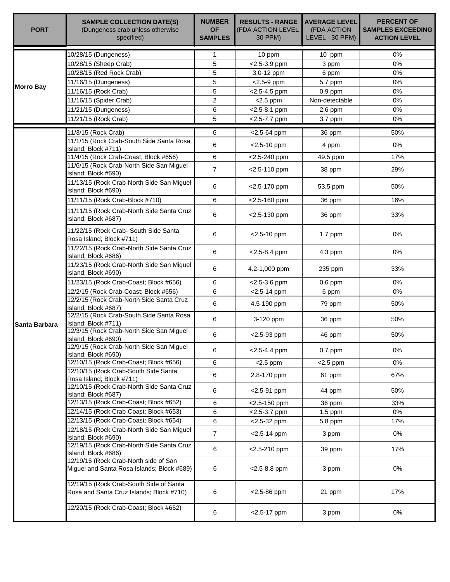| <b>PORT</b>      | <b>SAMPLE COLLECTION DATE(S)</b><br>(Dungeness crab unless otherwise<br>specified)  | <b>NUMBER</b><br><b>OF</b><br><b>SAMPLES</b> | <b>RESULTS - RANGE</b><br>(FDA ACTION LEVEL<br>30 PPM) | <b>AVERAGE LEVEL</b><br>(FDA ACTION<br>LEVEL - 30 PPM) | <b>PERCENT OF</b><br><b>SAMPLES EXCEEDING</b><br><b>ACTION LEVEL</b> |
|------------------|-------------------------------------------------------------------------------------|----------------------------------------------|--------------------------------------------------------|--------------------------------------------------------|----------------------------------------------------------------------|
|                  | 10/28/15 (Dungeness)                                                                | 1                                            | 10 ppm                                                 | 10 ppm                                                 | 0%                                                                   |
|                  | 10/28/15 (Sheep Crab)                                                               | 5                                            | <2.5-3.9 ppm                                           | 3 ppm                                                  | 0%                                                                   |
|                  | 10/28/15 (Red Rock Crab)                                                            | 5                                            | 3.0-12 ppm                                             | 6 ppm                                                  | 0%                                                                   |
|                  | 11/16/15 (Dungeness)                                                                | 5                                            | $<$ 2.5-9 ppm                                          | 5.7 ppm                                                | $0\%$                                                                |
| <b>Morro Bay</b> | 11/16/15 (Rock Crab)                                                                | 5                                            | $<$ 2.5-4.5 ppm                                        | $0.9$ ppm                                              | 0%                                                                   |
|                  | 11/16/15 (Spider Crab)                                                              | $\overline{2}$                               | $<$ 2.5 ppm                                            | Non-detectable                                         | 0%                                                                   |
|                  | 11/21/15 (Dungeness)                                                                | 6                                            | $<$ 2.5-8.1 ppm                                        | $2.6$ ppm                                              | 0%                                                                   |
|                  | 11/21/15 (Rock Crab)                                                                | 5                                            | <2.5-7.7 ppm                                           | 3.7 ppm                                                | 0%                                                                   |
|                  | 11/3/15 (Rock Crab)                                                                 | 6                                            | <2.5-64 ppm                                            | 36 ppm                                                 | 50%                                                                  |
|                  | 11/1/15 (Rock Crab-South Side Santa Rosa<br>Island; Block #711)                     | 6                                            | $<$ 2.5-10 ppm                                         | 4 ppm                                                  | 0%                                                                   |
|                  | 11/4/15 (Rock Crab-Coast; Block #656)                                               | 6                                            | <2.5-240 ppm                                           | 49.5 ppm                                               | 17%                                                                  |
|                  | 11/6/15 (Rock Crab-North Side San Miguel<br>Island; Block #690)                     | $\overline{7}$                               | <2.5-110 ppm                                           | 38 ppm                                                 | 29%                                                                  |
|                  | 11/13/15 (Rock Crab-North Side San Miguel<br>Island; Block #690)                    | 6                                            | <2.5-170 ppm                                           | 53.5 ppm                                               | 50%                                                                  |
|                  | 11/11/15 (Rock Crab-Block #710)                                                     | 6                                            | <2.5-160 ppm                                           | 36 ppm                                                 | 16%                                                                  |
|                  | 11/11/15 (Rock Crab-North Side Santa Cruz<br>Island; Block #687)                    | 6                                            | <2.5-130 ppm                                           | 36 ppm                                                 | 33%                                                                  |
|                  | 11/22/15 (Rock Crab- South Side Santa<br>Rosa Island; Block #711)                   | 6                                            | $<$ 2.5-10 ppm                                         | 1.7 ppm                                                | 0%                                                                   |
|                  | 11/22/15 (Rock Crab-North Side Santa Cruz<br>Island; Block #686)                    | 6                                            | $<$ 2.5-8.4 ppm                                        | 4.3 ppm                                                | 0%                                                                   |
|                  | 11/23/15 (Rock Crab-North Side San Miguel<br>Island; Block #690)                    | 6                                            | 4.2-1,000 ppm                                          | 235 ppm                                                | 33%                                                                  |
|                  | 11/23/15 (Rock Crab-Coast; Block #656)                                              | 6                                            | $<$ 2.5-3.6 ppm                                        | $0.6$ ppm                                              | 0%                                                                   |
|                  | 12/2/15 (Rock Crab-Coast; Block #656)                                               | 6                                            | $<$ 2.5-14 ppm                                         | 6 ppm                                                  | 0%                                                                   |
|                  | 12/2/15 (Rock Crab-North Side Santa Cruz<br>Island; Block #687)                     | 6                                            | 4.5-190 ppm                                            | 79 ppm                                                 | 50%                                                                  |
| Santa Barbara    | 12/2/15 (Rock Crab-South Side Santa Rosa<br>Island; Block #711)                     | 6                                            | 3-120 ppm                                              | 36 ppm                                                 | 50%                                                                  |
|                  | 12/3/15 (Rock Crab-North Side San Miguel<br>Island; Block #690)                     | 6                                            | <2.5-93 ppm                                            | 46 ppm                                                 | 50%                                                                  |
|                  | 12/9/15 (Rock Crab-North Side San Miguel<br>Island; Block #690)                     | 6                                            | $< 2.5 - 4.4$ ppm                                      | $0.7$ ppm                                              | 0%                                                                   |
|                  | 12/10/15 (Rock Crab-Coast; Block #656)                                              | 6                                            | $<$ 2.5 ppm                                            | $<$ 2.5 ppm                                            | 0%                                                                   |
|                  | 12/10/15 (Rock Crab-South Side Santa<br>Rosa Island; Block #711)                    | 6                                            | 2.8-170 ppm                                            | 61 ppm                                                 | 67%                                                                  |
|                  | 12/10/15 (Rock Crab-North Side Santa Cruz<br>Island; Block #687)                    | 6                                            | $<$ 2.5-91 ppm                                         | 44 ppm                                                 | 50%                                                                  |
|                  | 12/13/15 (Rock Crab-Coast; Block #652)                                              | 6                                            | <2.5-150 ppm                                           | 36 ppm                                                 | 33%                                                                  |
|                  | 12/14/15 (Rock Crab-Coast; Block #653)                                              | 6                                            | $<$ 2.5-3.7 ppm                                        | $1.5$ ppm                                              | 0%                                                                   |
|                  | 12/13/15 (Rock Crab-Coast; Block #654)                                              | 6                                            | $<$ 2.5-32 ppm                                         | 5.8 ppm                                                | 17%                                                                  |
|                  | 12/18/15 (Rock Crab-North Side San Miguel<br>Island; Block #690)                    | $\overline{7}$                               | $<$ 2.5-14 ppm                                         | 3 ppm                                                  | 0%                                                                   |
|                  | 12/19/15 (Rock Crab-North Side Santa Cruz<br>Island; Block #686)                    | 6                                            | <2.5-210 ppm                                           | 39 ppm                                                 | 17%                                                                  |
|                  | 12/19/15 (Rock Crab-North side of San<br>Miguel and Santa Rosa Islands; Block #689) | 6                                            | $<$ 2.5-8.8 ppm                                        | 3 ppm                                                  | 0%                                                                   |
|                  | 12/19/15 (Rock Crab-South Side of Santa<br>Rosa and Santa Cruz Islands; Block #710) | 6                                            | $<$ 2.5-86 ppm                                         | 21 ppm                                                 | 17%                                                                  |
|                  | 12/20/15 (Rock Crab-Coast; Block #652)                                              | 6                                            | <2.5-17 ppm                                            | 3 ppm                                                  | 0%                                                                   |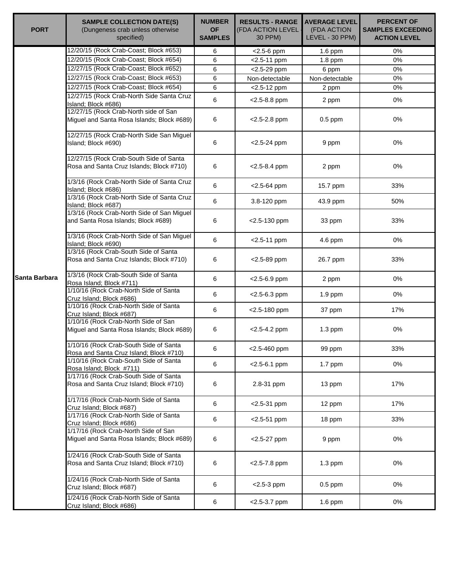| <b>PORT</b>   | <b>SAMPLE COLLECTION DATE(S)</b><br>(Dungeness crab unless otherwise<br>specified)  | <b>NUMBER</b><br><b>OF</b><br><b>SAMPLES</b> | <b>RESULTS - RANGE</b><br>(FDA ACTION LEVEL<br>30 PPM) | <b>AVERAGE LEVEL</b><br>(FDA ACTION<br>LEVEL - 30 PPM) | <b>PERCENT OF</b><br><b>SAMPLES EXCEEDING</b><br><b>ACTION LEVEL</b> |
|---------------|-------------------------------------------------------------------------------------|----------------------------------------------|--------------------------------------------------------|--------------------------------------------------------|----------------------------------------------------------------------|
|               | 12/20/15 (Rock Crab-Coast; Block #653)                                              | 6                                            | $<$ 2.5-6 ppm                                          | 1.6 ppm                                                | 0%                                                                   |
|               | 12/20/15 (Rock Crab-Coast; Block #654)                                              | 6                                            | $<$ 2.5-11 ppm                                         | $1.8$ ppm                                              | 0%                                                                   |
|               | 12/27/15 (Rock Crab-Coast; Block #652)                                              | 6                                            | <2.5-29 ppm                                            | 6 ppm                                                  | 0%                                                                   |
|               | 12/27/15 (Rock Crab-Coast; Block #653)                                              | 6                                            | Non-detectable                                         | Non-detectable                                         | 0%                                                                   |
|               | 12/27/15 (Rock Crab-Coast; Block #654)                                              | 6                                            | $<$ 2.5-12 ppm                                         | 2 ppm                                                  | 0%                                                                   |
|               | 12/27/15 (Rock Crab-North Side Santa Cruz<br>Island; Block #686)                    | 6                                            | $<$ 2.5-8.8 ppm                                        | 2 ppm                                                  | 0%                                                                   |
|               | 12/27/15 (Rock Crab-North side of San<br>Miguel and Santa Rosa Islands; Block #689) | 6                                            | $<$ 2.5-2.8 ppm                                        | $0.5$ ppm                                              | 0%                                                                   |
|               | 12/27/15 (Rock Crab-North Side San Miguel<br>Island; Block #690)                    | 6                                            | $<$ 2.5-24 ppm                                         | 9 ppm                                                  | 0%                                                                   |
|               | 12/27/15 (Rock Crab-South Side of Santa<br>Rosa and Santa Cruz Islands; Block #710) | 6                                            | $<$ 2.5-8.4 ppm                                        | 2 ppm                                                  | 0%                                                                   |
|               | 1/3/16 (Rock Crab-North Side of Santa Cruz<br>Island; Block #686)                   | 6                                            | $<$ 2.5-64 ppm                                         | 15.7 ppm                                               | 33%                                                                  |
|               | 1/3/16 (Rock Crab-North Side of Santa Cruz<br>Island; Block #687)                   | 6                                            | 3.8-120 ppm                                            | 43.9 ppm                                               | 50%                                                                  |
|               | 1/3/16 (Rock Crab-North Side of San Miguel<br>and Santa Rosa Islands; Block #689)   | 6                                            | <2.5-130 ppm                                           | 33 ppm                                                 | 33%                                                                  |
|               | 1/3/16 (Rock Crab-North Side of San Miguel<br>Island; Block #690)                   | 6                                            | $<$ 2.5-11 ppm                                         | 4.6 ppm                                                | 0%                                                                   |
|               | 1/3/16 (Rock Crab-South Side of Santa<br>Rosa and Santa Cruz Islands; Block #710)   | 6                                            | $<$ 2.5-89 ppm                                         | 26.7 ppm                                               | 33%                                                                  |
| Santa Barbara | 1/3/16 (Rock Crab-South Side of Santa<br>Rosa Island; Block #711)                   | 6                                            | <2.5-6.9 ppm                                           | 2 ppm                                                  | 0%                                                                   |
|               | 1/10/16 (Rock Crab-North Side of Santa<br>Cruz Island; Block #686)                  | 6                                            | $<$ 2.5-6.3 ppm                                        | 1.9 ppm                                                | 0%                                                                   |
|               | 1/10/16 (Rock Crab-North Side of Santa<br>Cruz Island; Block #687)                  | 6                                            | <2.5-180 ppm                                           | 37 ppm                                                 | 17%                                                                  |
|               | 1/10/16 (Rock Crab-North Side of San<br>Miguel and Santa Rosa Islands; Block #689)  | 6                                            | $<$ 2.5-4.2 ppm                                        | $1.3$ ppm                                              | 0%                                                                   |
|               | 1/10/16 (Rock Crab-South Side of Santa<br>Rosa and Santa Cruz Island; Block #710)   | 6                                            | $<$ 2.5-460 ppm                                        | 99 ppm                                                 | 33%                                                                  |
|               | 1/10/16 (Rock Crab-South Side of Santa<br>Rosa Island; Block #711)                  | 6                                            | $<$ 2.5-6.1 ppm                                        | 1.7 ppm                                                | 0%                                                                   |
|               | 1/17/16 (Rock Crab-South Side of Santa<br>Rosa and Santa Cruz Island; Block #710)   | 6                                            | 2.8-31 ppm                                             | 13 ppm                                                 | 17%                                                                  |
|               | 1/17/16 (Rock Crab-North Side of Santa<br>Cruz Island; Block #687)                  | 6                                            | $<$ 2.5-31 ppm                                         | 12 ppm                                                 | 17%                                                                  |
|               | 1/17/16 (Rock Crab-North Side of Santa<br>Cruz Island; Block #686)                  | 6                                            | $< 2.5 - 51$ ppm                                       | 18 ppm                                                 | 33%                                                                  |
|               | 1/17/16 (Rock Crab-North Side of San<br>Miguel and Santa Rosa Islands; Block #689)  | 6                                            | $<$ 2.5-27 ppm                                         | 9 ppm                                                  | 0%                                                                   |
|               | 1/24/16 (Rock Crab-South Side of Santa<br>Rosa and Santa Cruz Island; Block #710)   | 6                                            | $<$ 2.5-7.8 ppm                                        | $1.3$ ppm                                              | 0%                                                                   |
|               | 1/24/16 (Rock Crab-North Side of Santa<br>Cruz Island; Block #687)                  | 6                                            | $<$ 2.5-3 ppm                                          | $0.5$ ppm                                              | 0%                                                                   |
|               | 1/24/16 (Rock Crab-North Side of Santa<br>Cruz Island; Block #686)                  | 6                                            | $<$ 2.5-3.7 ppm                                        | 1.6 ppm                                                | 0%                                                                   |